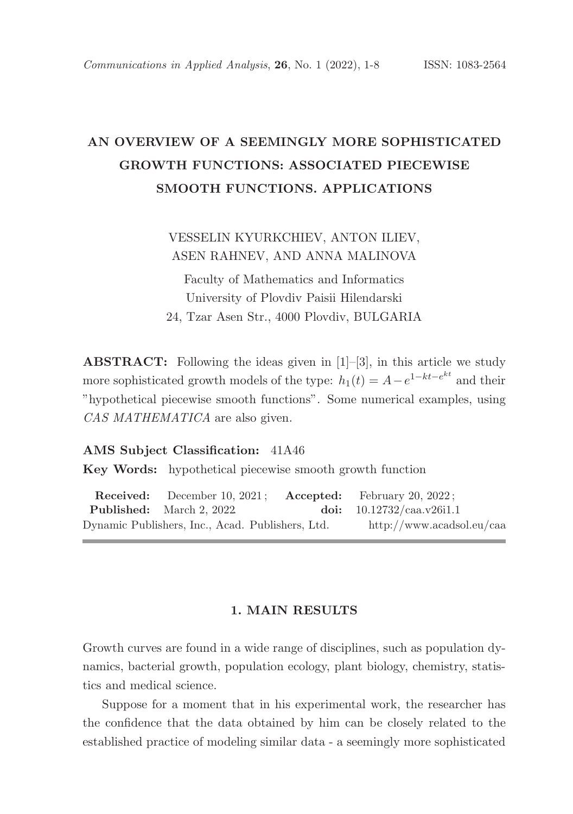# AN OVERVIEW OF A SEEMINGLY MORE SOPHISTICATED GROWTH FUNCTIONS: ASSOCIATED PIECEWISE SMOOTH FUNCTIONS. APPLICATIONS

VESSELIN KYURKCHIEV, ANTON ILIEV, ASEN RAHNEV, AND ANNA MALINOVA

Faculty of Mathematics and Informatics University of Plovdiv Paisii Hilendarski 24, Tzar Asen Str., 4000 Plovdiv, BULGARIA

ABSTRACT: Following the ideas given in [1]–[3], in this article we study more sophisticated growth models of the type:  $h_1(t) = A - e^{1 - kt - e^{kt}}$  and their "hypothetical piecewise smooth functions". Some numerical examples, using CAS MATHEMATICA are also given.

#### AMS Subject Classification: 41A46

Key Words: hypothetical piecewise smooth growth function

Received: December 10, 2021; Accepted: February 20, 2022; Published: March 2, 2022. doi: 10.12732/caa.v26i1.1 Dynamic Publishers, Inc., Acad. Publishers, Ltd. http://www.acadsol.eu/caa

# 1. MAIN RESULTS

Growth curves are found in a wide range of disciplines, such as population dynamics, bacterial growth, population ecology, plant biology, chemistry, statistics and medical science.

Suppose for a moment that in his experimental work, the researcher has the confidence that the data obtained by him can be closely related to the established practice of modeling similar data - a seemingly more sophisticated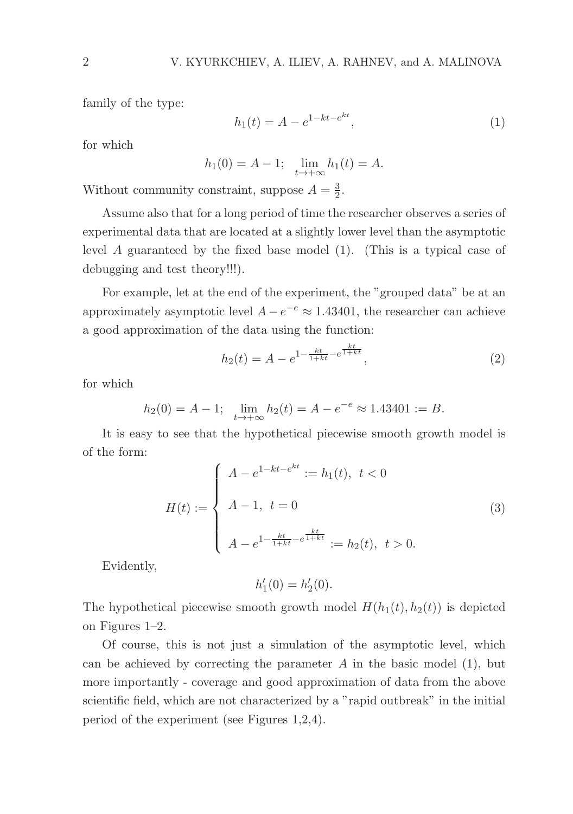family of the type:

$$
h_1(t) = A - e^{1 - kt - e^{kt}},
$$
\n(1)

for which

$$
h_1(0) = A - 1; \quad \lim_{t \to +\infty} h_1(t) = A.
$$

Without community constraint, suppose  $A = \frac{3}{2}$ .

Assume also that for a long period of time the researcher observes a series of experimental data that are located at a slightly lower level than the asymptotic level A guaranteed by the fixed base model (1). (This is a typical case of debugging and test theory!!!).

For example, let at the end of the experiment, the "grouped data" be at an approximately asymptotic level  $A - e^{-e} \approx 1.43401$ , the researcher can achieve a good approximation of the data using the function:

$$
h_2(t) = A - e^{1 - \frac{kt}{1 + kt} - e^{\frac{kt}{1 + kt}}},
$$
\n(2)

for which

$$
h_2(0) = A - 1; \quad \lim_{t \to +\infty} h_2(t) = A - e^{-e} \approx 1.43401 := B.
$$

It is easy to see that the hypothetical piecewise smooth growth model is of the form:

$$
H(t) := \begin{cases} A - e^{1 - kt - e^{kt}} := h_1(t), \ t < 0 \\ A - 1, \ t = 0 \\ A - e^{1 - \frac{kt}{1 + kt} - e^{\frac{kt}{1 + kt}}} := h_2(t), \ t > 0. \end{cases}
$$
(3)

Evidently,

$$
h'_1(0) = h'_2(0).
$$

The hypothetical piecewise smooth growth model  $H(h_1(t), h_2(t))$  is depicted on Figures 1–2.

Of course, this is not just a simulation of the asymptotic level, which can be achieved by correcting the parameter  $A$  in the basic model (1), but more importantly - coverage and good approximation of data from the above scientific field, which are not characterized by a "rapid outbreak" in the initial period of the experiment (see Figures 1,2,4).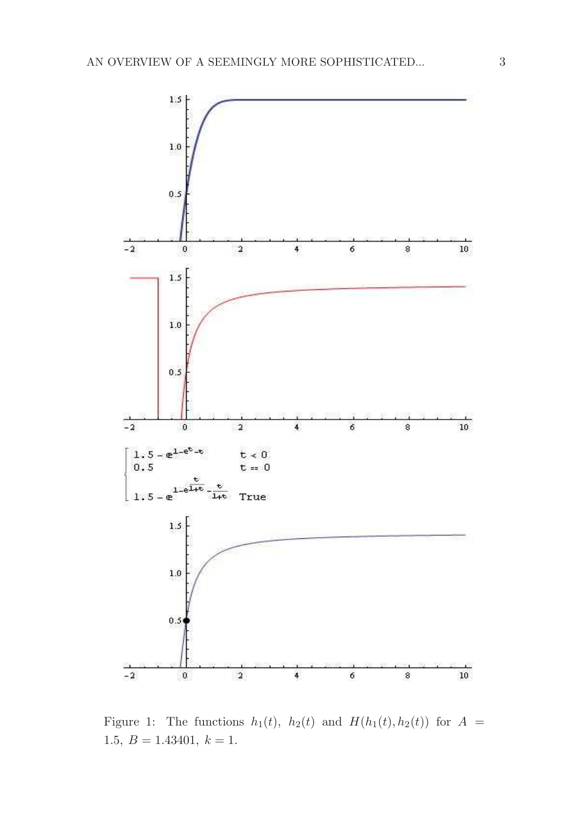

Figure 1: The functions  $h_1(t)$ ,  $h_2(t)$  and  $H(h_1(t), h_2(t))$  for  $A =$ 1.5,  $B = 1.43401, k = 1.$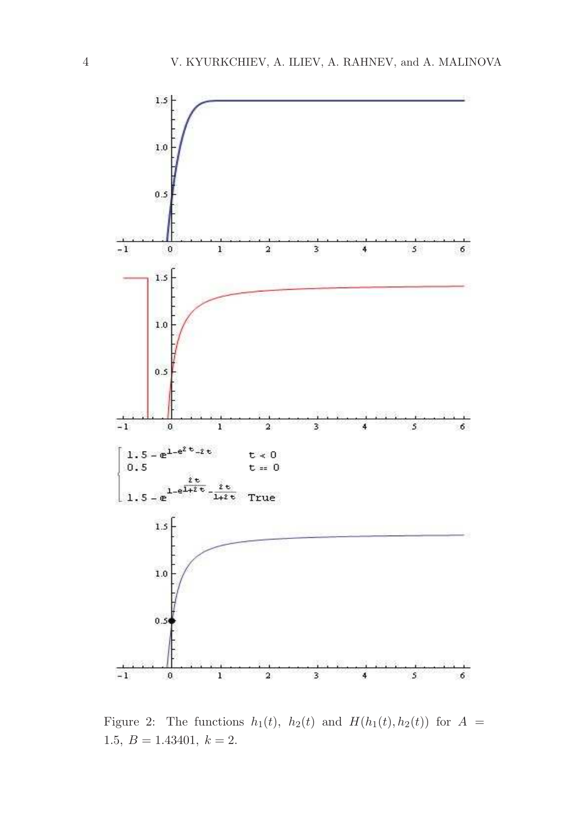

Figure 2: The functions  $h_1(t)$ ,  $h_2(t)$  and  $H(h_1(t), h_2(t))$  for  $A =$ 1.5,  $B = 1.43401, k = 2.$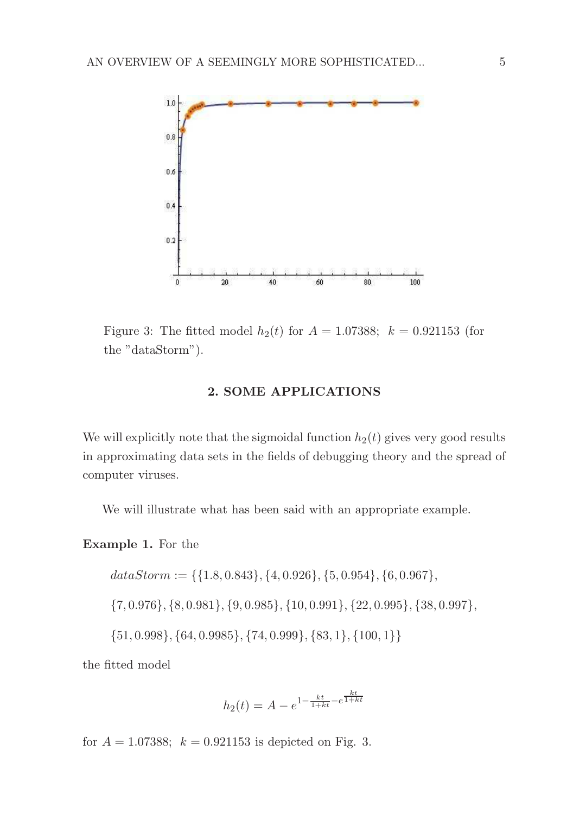

Figure 3: The fitted model  $h_2(t)$  for  $A = 1.07388$ ;  $k = 0.921153$  (for the "dataStorm").

### 2. SOME APPLICATIONS

We will explicitly note that the sigmoidal function  $h_2(t)$  gives very good results in approximating data sets in the fields of debugging theory and the spread of computer viruses.

We will illustrate what has been said with an appropriate example.

# Example 1. For the

$$
dataStorm := \{\{1.8, 0.843\}, \{4, 0.926\}, \{5, 0.954\}, \{6, 0.967\},
$$
  

$$
\{7, 0.976\}, \{8, 0.981\}, \{9, 0.985\}, \{10, 0.991\}, \{22, 0.995\}, \{38, 0.997\},
$$
  

$$
\{51, 0.998\}, \{64, 0.9985\}, \{74, 0.999\}, \{83, 1\}, \{100, 1\}\}
$$

the fitted model

$$
h_2(t) = A - e^{1 - \frac{kt}{1 + kt} - e^{\frac{kt}{1 + kt}}}
$$

for  $A = 1.07388$ ;  $k = 0.921153$  is depicted on Fig. 3.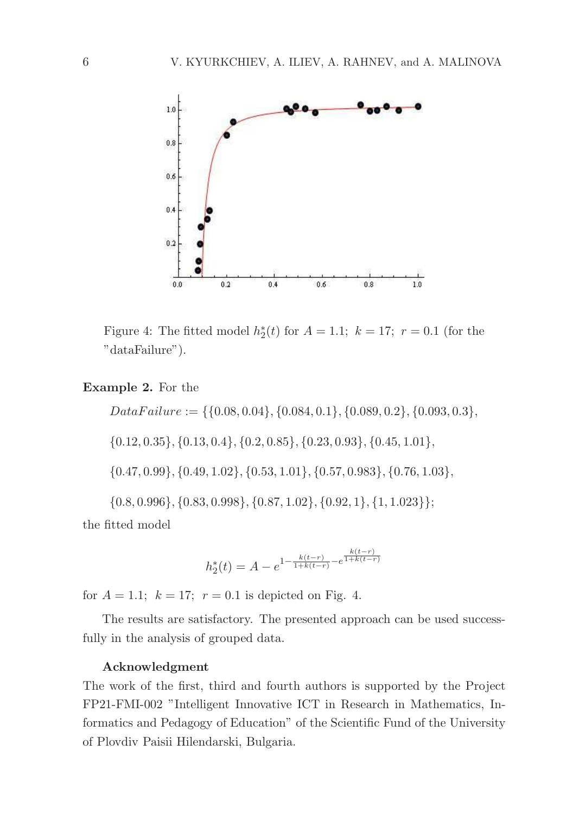

Figure 4: The fitted model  $h_2^*(t)$  for  $A = 1.1$ ;  $k = 17$ ;  $r = 0.1$  (for the "dataFailure").

# Example 2. For the

 $Data Failure := \{\{0.08, 0.04\}, \{0.084, 0.1\}, \{0.089, 0.2\}, \{0.093, 0.3\},\}$ 

{0.12, 0.35}, {0.13, 0.4}, {0.2, 0.85}, {0.23, 0.93}, {0.45, 1.01},

{0.47, 0.99}, {0.49, 1.02}, {0.53, 1.01}, {0.57, 0.983}, {0.76, 1.03},

{0.8, 0.996}, {0.83, 0.998}, {0.87, 1.02}, {0.92, 1}, {1, 1.023}};

the fitted model

$$
h_2^*(t) = A - e^{1 - \frac{k(t-r)}{1 + k(t-r)} - e^{\frac{k(t-r)}{1 + k(t-r)}}}
$$

for  $A = 1.1$ ;  $k = 17$ ;  $r = 0.1$  is depicted on Fig. 4.

The results are satisfactory. The presented approach can be used successfully in the analysis of grouped data.

#### Acknowledgment

The work of the first, third and fourth authors is supported by the Project FP21-FMI-002 "Intelligent Innovative ICT in Research in Mathematics, Informatics and Pedagogy of Education" of the Scientific Fund of the University of Plovdiv Paisii Hilendarski, Bulgaria.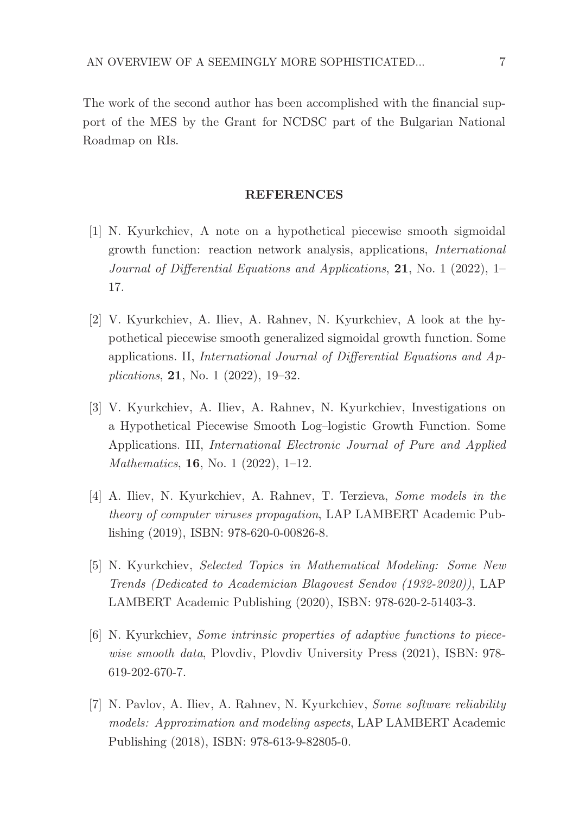The work of the second author has been accomplished with the financial support of the MES by the Grant for NCDSC part of the Bulgarian National Roadmap on RIs.

### REFERENCES

- [1] N. Kyurkchiev, A note on a hypothetical piecewise smooth sigmoidal growth function: reaction network analysis, applications, International Journal of Differential Equations and Applications, 21, No. 1 (2022), 1– 17.
- [2] V. Kyurkchiev, A. Iliev, A. Rahnev, N. Kyurkchiev, A look at the hypothetical piecewise smooth generalized sigmoidal growth function. Some applications. II, International Journal of Differential Equations and Applications, 21, No. 1 (2022), 19–32.
- [3] V. Kyurkchiev, A. Iliev, A. Rahnev, N. Kyurkchiev, Investigations on a Hypothetical Piecewise Smooth Log–logistic Growth Function. Some Applications. III, International Electronic Journal of Pure and Applied Mathematics, 16, No. 1 (2022), 1–12.
- [4] A. Iliev, N. Kyurkchiev, A. Rahnev, T. Terzieva, Some models in the theory of computer viruses propagation, LAP LAMBERT Academic Publishing (2019), ISBN: 978-620-0-00826-8.
- [5] N. Kyurkchiev, Selected Topics in Mathematical Modeling: Some New Trends (Dedicated to Academician Blagovest Sendov (1932-2020)), LAP LAMBERT Academic Publishing (2020), ISBN: 978-620-2-51403-3.
- [6] N. Kyurkchiev, Some intrinsic properties of adaptive functions to piecewise smooth data, Plovdiv, Plovdiv University Press (2021), ISBN: 978-619-202-670-7.
- [7] N. Pavlov, A. Iliev, A. Rahnev, N. Kyurkchiev, Some software reliability models: Approximation and modeling aspects, LAP LAMBERT Academic Publishing (2018), ISBN: 978-613-9-82805-0.